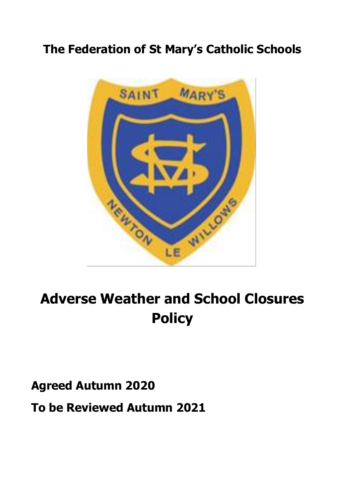## **The Federation of St Mary's Catholic Schools**



# **Adverse Weather and School Closures Policy**

**Agreed Autumn 2020**

**To be Reviewed Autumn 2021**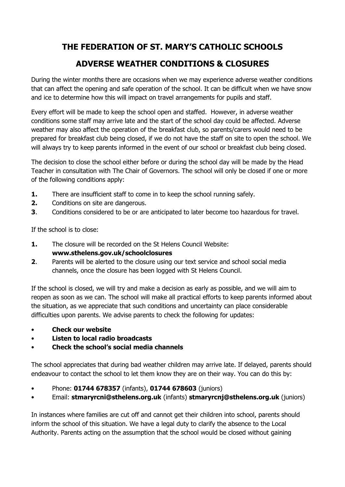## **THE FEDERATION OF ST. MARY'S CATHOLIC SCHOOLS**

## **ADVERSE WEATHER CONDITIONS & CLOSURES**

During the winter months there are occasions when we may experience adverse weather conditions that can affect the opening and safe operation of the school. It can be difficult when we have snow and ice to determine how this will impact on travel arrangements for pupils and staff.

Every effort will be made to keep the school open and staffed. However, in adverse weather conditions some staff may arrive late and the start of the school day could be affected. Adverse weather may also affect the operation of the breakfast club, so parents/carers would need to be prepared for breakfast club being closed, if we do not have the staff on site to open the school. We will always try to keep parents informed in the event of our school or breakfast club being closed.

The decision to close the school either before or during the school day will be made by the Head Teacher in consultation with The Chair of Governors. The school will only be closed if one or more of the following conditions apply:

- **1.** There are insufficient staff to come in to keep the school running safely.
- **2.** Conditions on site are dangerous.
- **3**. Conditions considered to be or are anticipated to later become too hazardous for travel.

If the school is to close:

**1.** The closure will be recorded on the St Helens Council Website:

### **www.sthelens.gov.uk/schoolclosures**

**2**. Parents will be alerted to the closure using our text service and school social media channels, once the closure has been logged with St Helens Council.

If the school is closed, we will try and make a decision as early as possible, and we will aim to reopen as soon as we can. The school will make all practical efforts to keep parents informed about the situation, as we appreciate that such conditions and uncertainty can place considerable difficulties upon parents. We advise parents to check the following for updates:

- **Check our website**
- **Listen to local radio broadcasts**
- **Check the school's social media channels**

The school appreciates that during bad weather children may arrive late. If delayed, parents should endeavour to contact the school to let them know they are on their way. You can do this by:

- Phone: **01744 678357** (infants), **01744 678603** (juniors)
- Email: **stmaryrcni@sthelens.org.uk** (infants) **stmaryrcnj@sthelens.org.uk** (juniors)

In instances where families are cut off and cannot get their children into school, parents should inform the school of this situation. We have a legal duty to clarify the absence to the Local Authority. Parents acting on the assumption that the school would be closed without gaining